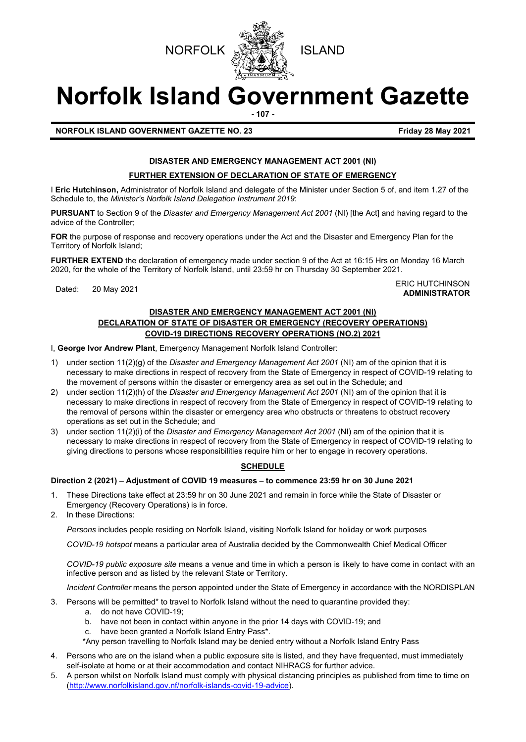



# **Norfolk Island Government Gazette**

**- 107 -**

# **NORFOLK ISLAND GOVERNMENT GAZETTE NO. 23 Friday 28 May 2021**

### **DISASTER AND EMERGENCY MANAGEMENT ACT 2001 (NI)**

#### **FURTHER EXTENSION OF DECLARATION OF STATE OF EMERGENCY**

I **Eric Hutchinson,** Administrator of Norfolk Island and delegate of the Minister under Section 5 of, and item 1.27 of the Schedule to, the *Minister's Norfolk Island Delegation Instrument 2019*:

**PURSUANT** to Section 9 of the *Disaster and Emergency Management Act 2001* (NI) [the Act] and having regard to the advice of the Controller;

**FOR** the purpose of response and recovery operations under the Act and the Disaster and Emergency Plan for the Territory of Norfolk Island;

**FURTHER EXTEND** the declaration of emergency made under section 9 of the Act at 16:15 Hrs on Monday 16 March 2020, for the whole of the Territory of Norfolk Island, until 23:59 hr on Thursday 30 September 2021.

Dated: 20 May 2021<br>Dated: 20 May 2021 **ADMINISTRATOR**

#### **DISASTER AND EMERGENCY MANAGEMENT ACT 2001 (NI) DECLARATION OF STATE OF DISASTER OR EMERGENCY (RECOVERY OPERATIONS) COVID-19 DIRECTIONS RECOVERY OPERATIONS (NO.2) 2021**

I, **George Ivor Andrew Plant**, Emergency Management Norfolk Island Controller:

- 1) under section 11(2)(g) of the *Disaster and Emergency Management Act 2001* (NI) am of the opinion that it is necessary to make directions in respect of recovery from the State of Emergency in respect of COVID-19 relating to the movement of persons within the disaster or emergency area as set out in the Schedule; and
- 2) under section 11(2)(h) of the *Disaster and Emergency Management Act 2001* (NI) am of the opinion that it is necessary to make directions in respect of recovery from the State of Emergency in respect of COVID-19 relating to the removal of persons within the disaster or emergency area who obstructs or threatens to obstruct recovery operations as set out in the Schedule; and
- 3) under section 11(2)(i) of the *Disaster and Emergency Management Act 2001* (NI) am of the opinion that it is necessary to make directions in respect of recovery from the State of Emergency in respect of COVID-19 relating to giving directions to persons whose responsibilities require him or her to engage in recovery operations.

#### **SCHEDULE**

#### **Direction 2 (2021) – Adjustment of COVID 19 measures – to commence 23:59 hr on 30 June 2021**

- 1. These Directions take effect at 23:59 hr on 30 June 2021 and remain in force while the State of Disaster or Emergency (Recovery Operations) is in force.
- 2. In these Directions:

*Persons* includes people residing on Norfolk Island, visiting Norfolk Island for holiday or work purposes

*COVID-19 hotspot* means a particular area of Australia decided by the Commonwealth Chief Medical Officer

*COVID-19 public exposure site* means a venue and time in which a person is likely to have come in contact with an infective person and as listed by the relevant State or Territory.

*Incident Controller* means the person appointed under the State of Emergency in accordance with the NORDISPLAN

3. Persons will be permitted\* to travel to Norfolk Island without the need to quarantine provided they:

- a. do not have COVID-19;
- b. have not been in contact within anyone in the prior 14 days with COVID-19; and
- c. have been granted a Norfolk Island Entry Pass\*.
- \*Any person travelling to Norfolk Island may be denied entry without a Norfolk Island Entry Pass
- 4. Persons who are on the island when a public exposure site is listed, and they have frequented, must immediately self-isolate at home or at their accommodation and contact NIHRACS for further advice.
- 5. A person whilst on Norfolk Island must comply with physical distancing principles as published from time to time on [\(http://www.norfolkisland.gov.nf/norfolk-islands-covid-19-advice\)](http://www.norfolkisland.gov.nf/norfolk-islands-covid-19-advice).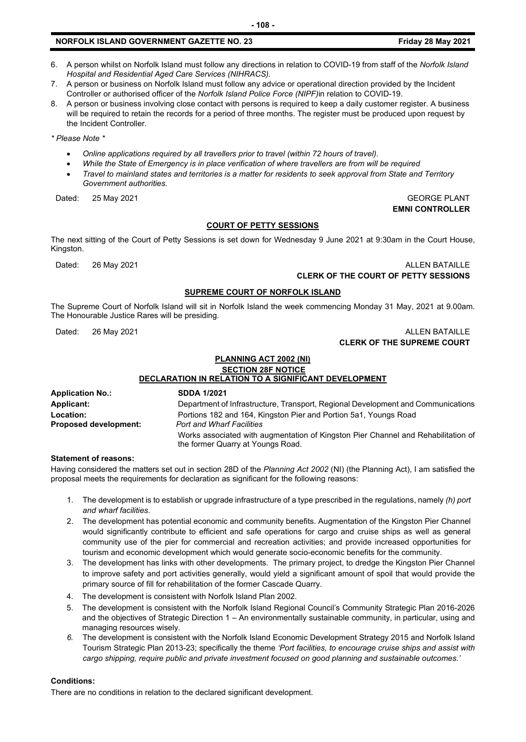- 6. A person whilst on Norfolk Island must follow any directions in relation to COVID-19 from staff of the *Norfolk Island Hospital and Residential Aged Care Services (NIHRACS).*
- 7. A person or business on Norfolk Island must follow any advice or operational direction provided by the Incident Controller or authorised officer of the *Norfolk Island Police Force (NIPF)*in relation to COVID-19.
- 8. A person or business involving close contact with persons is required to keep a daily customer register. A business will be required to retain the records for a period of three months. The register must be produced upon request by the Incident Controller.

*\* Please Note \** 

- *Online applications required by all travellers prior to travel (within 72 hours of travel).*
- *While the State of Emergency is in place verification of where travellers are from will be required*
- *Travel to mainland states and territories is a matter for residents to seek approval from State and Territory Government authorities.*

Dated: 25 May 2021 GEORGE PLANT

#### **COURT OF PETTY SESSIONS**

The next sitting of the Court of Petty Sessions is set down for Wednesday 9 June 2021 at 9:30am in the Court House, Kingston.

Dated: 26 May 2021 2008 12:30 May 2021 20:30 May 20:30 May 20:30 May 20:30 May 20:30 May 20:30 May 20:30 May 20:30 May 20:30 May 20:30 May 20:30 May 20:30 May 20:30 May 20:30 May 20:30 May 20:30 May 20:30 May 20:30 May 20:

## **CLERK OF THE COURT OF PETTY SESSIONS**

#### **SUPREME COURT OF NORFOLK ISLAND**

The Supreme Court of Norfolk Island will sit in Norfolk Island the week commencing Monday 31 May, 2021 at 9.00am. The Honourable Justice Rares will be presiding.

Dated: 26 May 2021 2008 12:00 12:00 12:00 12:00 12:00 12:00 12:00 12:00 12:00 12:00 12:00 12:00 12:00 12:00 12:00 12:00 12:00 12:00 12:00 12:00 12:00 12:00 12:00 12:00 12:00 12:00 12:00 12:00 12:00 12:00 12:00 12:00 12:00

# **CLERK OF THE SUPREME COURT**

#### **PLANNING ACT 2002 (NI) SECTION 28F NOTICE**

**DECLARATION IN RELATION TO A SIGNIFICANT DEVELOPMENT Application No.: SDDA 1/2021 Applicant:** Department of Infrastructure, Transport, Regional Development and Communications **Location:** Portions 182 and 164, Kingston Pier and Portion 5a1, Youngs Road **Proposed development:** *Port and Wharf Facilities*  Works associated with augmentation of Kingston Pier Channel and Rehabilitation of the former Quarry at Youngs Road.

#### **Statement of reasons:**

Having considered the matters set out in section 28D of the *Planning Act 2002* (NI) (the Planning Act), I am satisfied the proposal meets the requirements for declaration as significant for the following reasons:

- 1. The development is to establish or upgrade infrastructure of a type prescribed in the regulations, namely *(h) port and wharf facilities.*
- 2. The development has potential economic and community benefits. Augmentation of the Kingston Pier Channel would significantly contribute to efficient and safe operations for cargo and cruise ships as well as general community use of the pier for commercial and recreation activities; and provide increased opportunities for tourism and economic development which would generate socio-economic benefits for the community.
- 3. The development has links with other developments. The primary project, to dredge the Kingston Pier Channel to improve safety and port activities generally, would yield a significant amount of spoil that would provide the primary source of fill for rehabilitation of the former Cascade Quarry.
- 4. The development is consistent with Norfolk Island Plan 2002.
- 5. The development is consistent with the Norfolk Island Regional Council's Community Strategic Plan 2016-2026 and the objectives of Strategic Direction 1 – An environmentally sustainable community, in particular, using and managing resources wisely.
- *6.* The development is consistent with the Norfolk Island Economic Development Strategy 2015 and Norfolk Island Tourism Strategic Plan 2013-23; specifically the theme *'Port facilities, to encourage cruise ships and assist with cargo shipping, require public and private investment focused on good planning and sustainable outcomes.'*

#### **Conditions:**

There are no conditions in relation to the declared significant development.

**- 108 -**

# **EMNI CONTROLLER**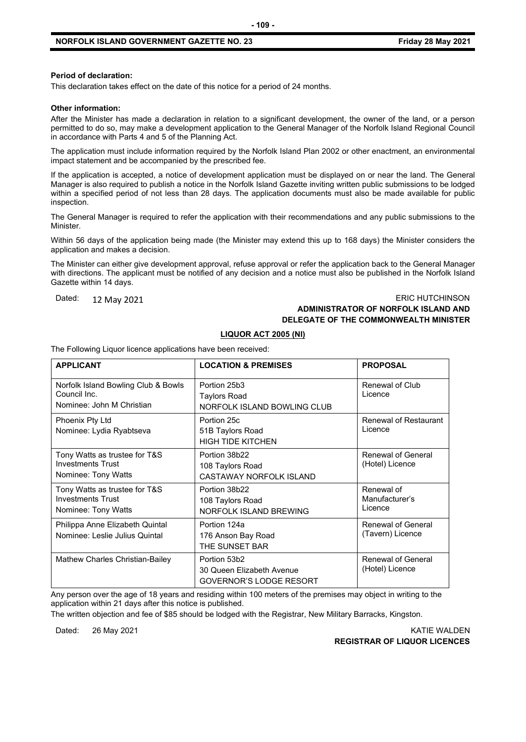#### **Period of declaration:**

This declaration takes effect on the date of this notice for a period of 24 months.

#### **Other information:**

After the Minister has made a declaration in relation to a significant development, the owner of the land, or a person permitted to do so, may make a development application to the General Manager of the Norfolk Island Regional Council in accordance with Parts 4 and 5 of the Planning Act.

**- 109 -**

The application must include information required by the Norfolk Island Plan 2002 or other enactment, an environmental impact statement and be accompanied by the prescribed fee.

If the application is accepted, a notice of development application must be displayed on or near the land. The General Manager is also required to publish a notice in the Norfolk Island Gazette inviting written public submissions to be lodged within a specified period of not less than 28 days. The application documents must also be made available for public inspection.

The General Manager is required to refer the application with their recommendations and any public submissions to the **Minister** 

Within 56 days of the application being made (the Minister may extend this up to 168 days) the Minister considers the application and makes a decision.

The Minister can either give development approval, refuse approval or refer the application back to the General Manager with directions. The applicant must be notified of any decision and a notice must also be published in the Norfolk Island Gazette within 14 days.

### Dated: 12 May 2021 2008 2009 2009 2010 2010 2021 2030 2040 2040 2050 2060 2071 2080 2091 2092 2093 2094 2095 20 **ADMINISTRATOR OF NORFOLK ISLAND AND DELEGATE OF THE COMMONWEALTH MINISTER**

**LIQUOR ACT 2005 (NI)**

The Following Liquor licence applications have been received:

| <b>APPLICANT</b>                                                                 | <b>LOCATION &amp; PREMISES</b>                                              | <b>PROPOSAL</b>                         |
|----------------------------------------------------------------------------------|-----------------------------------------------------------------------------|-----------------------------------------|
| Norfolk Island Bowling Club & Bowls<br>Council Inc.<br>Nominee: John M Christian | Portion 25b3<br>Taylors Road<br>NORFOLK ISLAND BOWLING CLUB                 | Renewal of Club<br>Licence              |
| Phoenix Pty Ltd<br>Nominee: Lydia Ryabtseva                                      | Portion 25c<br>51B Taylors Road<br><b>HIGH TIDE KITCHEN</b>                 | <b>Renewal of Restaurant</b><br>Licence |
| Tony Watts as trustee for T&S<br><b>Investments Trust</b><br>Nominee: Tony Watts | Portion 38b22<br>108 Taylors Road<br><b>CASTAWAY NORFOLK ISLAND</b>         | Renewal of General<br>(Hotel) Licence   |
| Tony Watts as trustee for T&S<br><b>Investments Trust</b><br>Nominee: Tony Watts | Portion 38b22<br>108 Taylors Road<br>NORFOLK ISLAND BREWING                 | Renewal of<br>Manufacturer's<br>Licence |
| Philippa Anne Elizabeth Quintal<br>Nominee: Leslie Julius Quintal                | Portion 124a<br>176 Anson Bay Road<br>THE SUNSET BAR                        | Renewal of General<br>(Tavern) Licence  |
| Mathew Charles Christian-Bailey                                                  | Portion 53b2<br>30 Queen Elizabeth Avenue<br><b>GOVERNOR'S LODGE RESORT</b> | Renewal of General<br>(Hotel) Licence   |

Any person over the age of 18 years and residing within 100 meters of the premises may object in writing to the application within 21 days after this notice is published.

The written objection and fee of \$85 should be lodged with the Registrar, New Military Barracks, Kingston.

Dated: 26 May 2021 KATIE WALDEN **REGISTRAR OF LIQUOR LICENCES**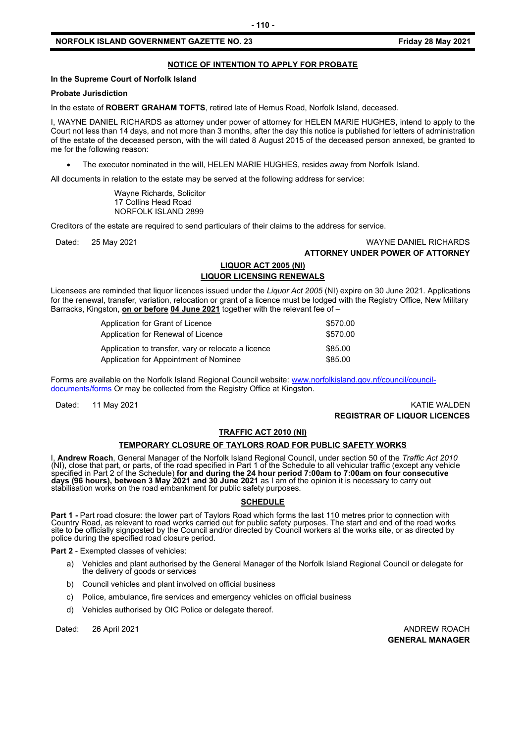#### **NOTICE OF INTENTION TO APPLY FOR PROBATE**

#### **In the Supreme Court of Norfolk Island**

#### **Probate Jurisdiction**

In the estate of **ROBERT GRAHAM TOFTS**, retired late of Hemus Road, Norfolk Island*,* deceased.

I, WAYNE DANIEL RICHARDS as attorney under power of attorney for HELEN MARIE HUGHES, intend to apply to the Court not less than 14 days, and not more than 3 months, after the day this notice is published for letters of administration of the estate of the deceased person, with the will dated 8 August 2015 of the deceased person annexed, be granted to me for the following reason:

• The executor nominated in the will, HELEN MARIE HUGHES, resides away from Norfolk Island.

All documents in relation to the estate may be served at the following address for service:

Wayne Richards, Solicitor 17 Collins Head Road NORFOLK ISLAND 2899

Creditors of the estate are required to send particulars of their claims to the address for service.

#### Dated: 25 May 2021 WAYNE DANIEL RICHARDS **ATTORNEY UNDER POWER OF ATTORNEY**

#### **LIQUOR ACT 2005 (NI) LIQUOR LICENSING RENEWALS**

Licensees are reminded that liquor licences issued under the *Liquor Act 2005* (NI) expire on 30 June 2021. Applications for the renewal, transfer, variation, relocation or grant of a licence must be lodged with the Registry Office, New Military Barracks, Kingston, **on or before 04 June 2021** together with the relevant fee of –

> Application for Grant of Licence \$570.00 Application for Renewal of Licence \$570.00 Application to transfer, vary or relocate a licence \$85.00 Application for Appointment of Nominee  $$85.00$

Forms are available on the Norfolk Island Regional Council website: [www.norfolkisland.gov.nf/council/council](http://www.norfolkisland.gov.nf/council/council-documents/forms)[documents/forms](http://www.norfolkisland.gov.nf/council/council-documents/forms) Or may be collected from the Registry Office at Kingston.

Dated: 11 May 2021 KATIE WALDEN **REGISTRAR OF LIQUOR LICENCES**

#### **TRAFFIC ACT 2010 (NI)**

#### **TEMPORARY CLOSURE OF TAYLORS ROAD FOR PUBLIC SAFETY WORKS**

I, **Andrew Roach**, General Manager of the Norfolk Island Regional Council, under section 50 of the *Traffic Act 2010* (NI), close that part, or parts, of the road specified in Part 1 of the Schedule to all vehicular traffic (except any vehicle specified in Part 2 of the Schedule) **for and during the 24 hour period 7:00am to 7:00am on four consecutive**  days (96 hours), between 3 May 2021 and 30 June 2021 as I am of the opinion it is necessary to carry out stabilisation works on the road embankment for public safety purposes.

#### **SCHEDULE**

**Part 1 -** Part road closure: the lower part of Taylors Road which forms the last 110 metres prior to connection with<br>Country Road, as relevant to road works carried out for public safety purposes. The start and end of the police during the specified road closure period.

**Part 2** - Exempted classes of vehicles:

- a) Vehicles and plant authorised by the General Manager of the Norfolk Island Regional Council or delegate for the delivery of goods or services
- b) Council vehicles and plant involved on official business
- c) Police, ambulance, fire services and emergency vehicles on official business
- d) Vehicles authorised by OIC Police or delegate thereof.

Dated: 26 April 2021 **ANDREW ROACH** 

**GENERAL MANAGER**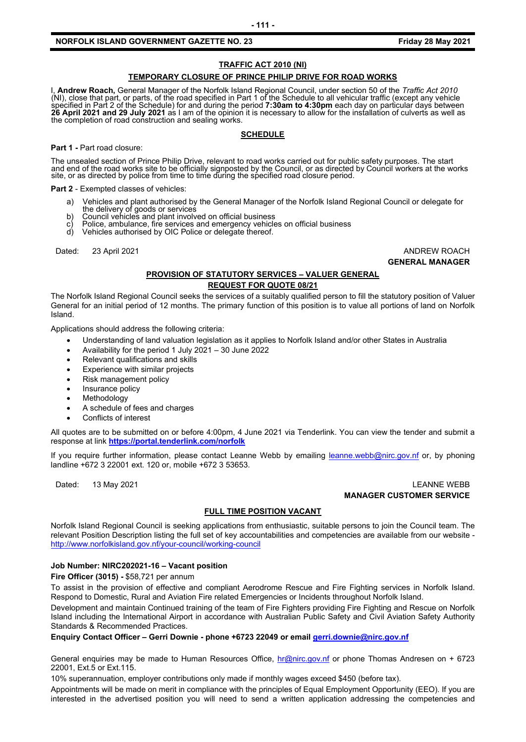#### **TRAFFIC ACT 2010 (NI)**

#### **TEMPORARY CLOSURE OF PRINCE PHILIP DRIVE FOR ROAD WORKS**

I, **Andrew Roach,** General Manager of the Norfolk Island Regional Council, under section 50 of the *Traffic Act 2010* (NI), close that part, or parts, of the road specified in Part 1 of the Schedule to all vehicular traffic (except any vehicle specified in Part 2 of the Schedule) for and during the period **7:30am to 4:30pm** each day on particular days between **26 April 2021 and 29 July 2021** as I am of the opinion it is necessary to allow for the installation of culverts as well as the completion of road construction and sealing works.

#### **SCHEDULE**

**Part 1 -** Part road closure:

The unsealed section of Prince Philip Drive, relevant to road works carried out for public safety purposes. The start<br>and end of the road works site to be officially signposted by the Council, or as directed by Council wor site, or as directed by police from time to time during the specified road closure period.

**Part 2** - Exempted classes of vehicles:

- a) Vehicles and plant authorised by the General Manager of the Norfolk Island Regional Council or delegate for the delivery of goods or services
- b) Council vehicles and plant involved on official business
- c) Police, ambulance, fire services and emergency vehicles on official business
- Vehicles authorised by OIC Police or delegate thereof.

Dated: 23 April 2021 **ANDREW ROACH** 

**GENERAL MANAGER**

#### **PROVISION OF STATUTORY SERVICES – VALUER GENERAL REQUEST FOR QUOTE 08/21**

The Norfolk Island Regional Council seeks the services of a suitably qualified person to fill the statutory position of Valuer General for an initial period of 12 months. The primary function of this position is to value all portions of land on Norfolk Island.

Applications should address the following criteria:

- Understanding of land valuation legislation as it applies to Norfolk Island and/or other States in Australia
- Availability for the period 1 July 2021 30 June 2022
- Relevant qualifications and skills
- Experience with similar projects
- Risk management policy
- Insurance policy
- **Methodology**
- A schedule of fees and charges
- Conflicts of interest

All quotes are to be submitted on or before 4:00pm, 4 June 2021 via Tenderlink. You can view the tender and submit a response at link **[https://portal.tenderlink.com/norfolk](http://mxr.tenderlink.com/track/click/31143144/portal.tenderlink.com?p=eyJzIjoiRnp5VTFkNlg5SVd4ZUVjRmJMRVA4UGlUajhZIiwidiI6MSwicCI6IntcInVcIjozMTE0MzE0NCxcInZcIjoxLFwidXJsXCI6XCJodHRwczpcXFwvXFxcL3BvcnRhbC50ZW5kZXJsaW5rLmNvbVxcXC9ub3Jmb2xrXCIsXCJpZFwiOlwiMTMzZTc3ZDM3ODJiNGIzNjk5YzJkNzEyNTljZjc1ZjVcIixcInVybF9pZHNcIjpbXCI4ZWQwMDdmYmU1ZWY3MjkyYjRjNWY3M2MxMmE2NzljMjNiM2U3NTk0XCJdfSJ9)**

If you require further information, please contact Leanne Webb by emailing [leanne.webb@nirc.gov.nf](mailto:leanne.webb@nirc.gov.nf) or, by phoning landline +672 3 22001 ext. 120 or, mobile +672 3 53653.

#### Dated: 13 May 2021 LEANNE WEBB **MANAGER CUSTOMER SERVICE**

#### **FULL TIME POSITION VACANT**

Norfolk Island Regional Council is seeking applications from enthusiastic, suitable persons to join the Council team. The relevant Position Description listing the full set of key accountabilities and competencies are available from our website <http://www.norfolkisland.gov.nf/your-council/working-council>

#### **Job Number: NIRC202021-16 – Vacant position**

**Fire Officer (3015) -** \$58,721 per annum

To assist in the provision of effective and compliant Aerodrome Rescue and Fire Fighting services in Norfolk Island. Respond to Domestic, Rural and Aviation Fire related Emergencies or Incidents throughout Norfolk Island.

Development and maintain Continued training of the team of Fire Fighters providing Fire Fighting and Rescue on Norfolk Island including the International Airport in accordance with Australian Public Safety and Civil Aviation Safety Authority Standards & Recommended Practices.

#### **Enquiry Contact Officer – Gerri Downie - phone +6723 22049 or emai[l gerri.downie@nirc.gov.nf](mailto:gerri.downie@nirc.gov.nf)**

General enquiries may be made to Human Resources Office, [hr@nirc.gov.nf](mailto:hr@nirc.gov.nf) or phone Thomas Andresen on + 6723 22001, Ext.5 or Ext.115.

10% superannuation, employer contributions only made if monthly wages exceed \$450 (before tax).

Appointments will be made on merit in compliance with the principles of Equal Employment Opportunity (EEO). If you are interested in the advertised position you will need to send a written application addressing the competencies and